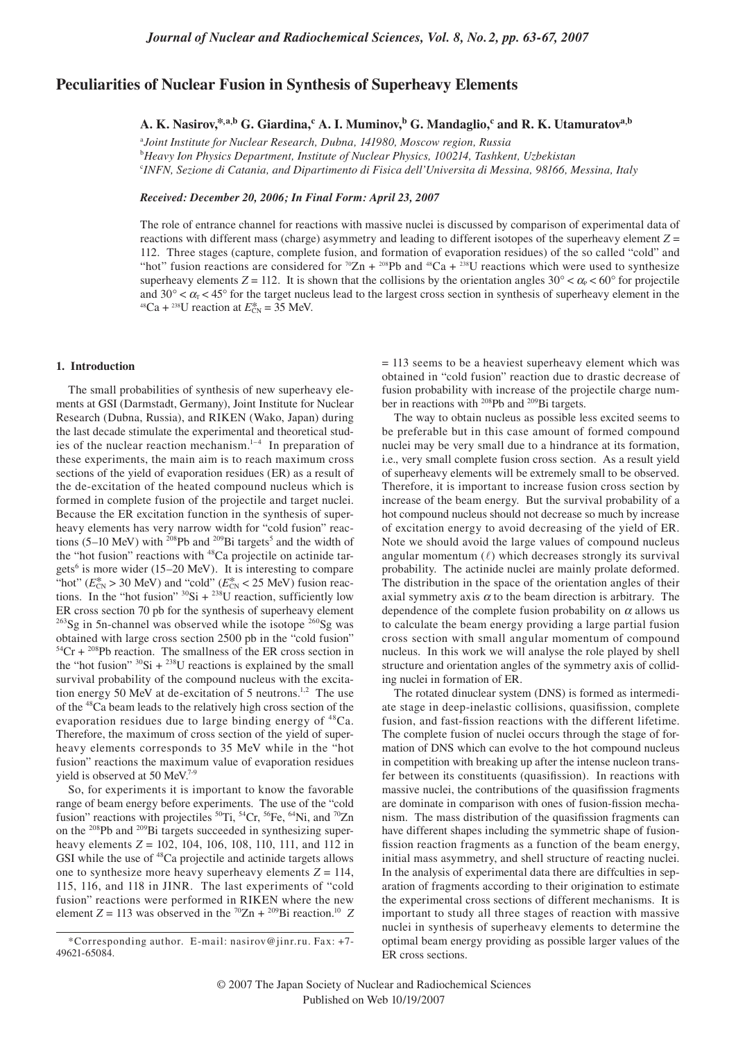# **Peculiarities of Nuclear Fusion in Synthesis of Superheavy Elements**

A. K. Nasirov,\*,a,b G. Giardina,<sup>c</sup> A. I. Muminov,<sup>b</sup> G. Mandaglio,<sup>c</sup> and R. K. Utamuratov<sup>a,b</sup>

a *Joint Institute for Nuclear Research, Dubna, 141980, Moscow region, Russia* b *Heavy Ion Physics Department, Institute of Nuclear Physics, 100214, Tashkent, Uzbekistan* c *INFN, Sezione di Catania, and Dipartimento di Fisica dell'Universita di Messina, 98166, Messina, Italy*

*Received: December 20, 2006; In Final Form: April 23, 2007*

The role of entrance channel for reactions with massive nuclei is discussed by comparison of experimental data of reactions with different mass (charge) asymmetry and leading to different isotopes of the superheavy element *Z* = 112. Three stages (capture, complete fusion, and formation of evaporation residues) of the so called "cold" and "hot" fusion reactions are considered for  $\sqrt[7]{2n} + \sqrt[208]{2}$  and  $\sqrt[48]{2}$  reactions which were used to synthesize superheavy elements  $Z = 112$ . It is shown that the collisions by the orientation angles  $30^{\circ} < \alpha_{\rm P} < 60^{\circ}$  for projectile and  $30^{\circ} < \alpha_{\rm r} < 45^{\circ}$  for the target nucleus lead to the largest cross section in synthesis of superheavy element in the <sup>48</sup>Ca + <sup>238</sup>U reaction at  $E_{CN}^*$  = 35 MeV.

## **1. Introduction**

The small probabilities of synthesis of new superheavy elements at GSI (Darmstadt, Germany), Joint Institute for Nuclear Research (Dubna, Russia), and RIKEN (Wako, Japan) during the last decade stimulate the experimental and theoretical studies of the nuclear reaction mechanism. $1-4$  In preparation of these experiments, the main aim is to reach maximum cross sections of the yield of evaporation residues (ER) as a result of the de-excitation of the heated compound nucleus which is formed in complete fusion of the projectile and target nuclei. Because the ER excitation function in the synthesis of superheavy elements has very narrow width for "cold fusion" reactions (5–10 MeV) with <sup>208</sup>Pb and <sup>209</sup>Bi targets<sup>5</sup> and the width of the "hot fusion" reactions with <sup>48</sup>Ca projectile on actinide targets<sup>6</sup> is more wider (15–20 MeV). It is interesting to compare "hot" ( $E_{\text{CN}}^* > 30$  MeV) and "cold" ( $E_{\text{CN}}^* < 25$  MeV) fusion reactions. In the "hot fusion"  $30\text{Si} + 238\text{U}$  reaction, sufficiently low ER cross section 70 pb for the synthesis of superheavy element  $^{263}$ Sg in 5n-channel was observed while the isotope  $^{260}$ Sg was obtained with large cross section 2500 pb in the "cold fusion"  $54Cr + 208Pb$  reaction. The smallness of the ER cross section in the "hot fusion"  $30\text{Si} + 238\text{U}$  reactions is explained by the small survival probability of the compound nucleus with the excitation energy 50 MeV at de-excitation of 5 neutrons.<sup>1,2</sup> The use of the 48Ca beam leads to the relatively high cross section of the evaporation residues due to large binding energy of <sup>48</sup>Ca. Therefore, the maximum of cross section of the yield of superheavy elements corresponds to 35 MeV while in the "hot fusion" reactions the maximum value of evaporation residues yield is observed at 50 MeV.<sup>7-9</sup>

So, for experiments it is important to know the favorable range of beam energy before experiments. The use of the "cold fusion" reactions with projectiles <sup>50</sup>Ti, <sup>54</sup>Cr, <sup>56</sup>Fe, <sup>64</sup>Ni, and <sup>70</sup>Zn on the 208Pb and 209Bi targets succeeded in synthesizing superheavy elements *Z* = 102, 104, 106, 108, 110, 111, and 112 in GSI while the use of <sup>48</sup>Ca projectile and actinide targets allows one to synthesize more heavy superheavy elements  $Z = 114$ , 115, 116, and 118 in JINR. The last experiments of "cold fusion" reactions were performed in RIKEN where the new element  $Z = 113$  was observed in the <sup>70</sup>Zn + <sup>209</sup>Bi reaction.<sup>10</sup> *Z*  = 113 seems to be a heaviest superheavy element which was obtained in "cold fusion" reaction due to drastic decrease of fusion probability with increase of the projectile charge number in reactions with <sup>208</sup>Pb and <sup>209</sup>Bi targets.

The way to obtain nucleus as possible less excited seems to be preferable but in this case amount of formed compound nuclei may be very small due to a hindrance at its formation, i.e., very small complete fusion cross section. As a result yield of superheavy elements will be extremely small to be observed. Therefore, it is important to increase fusion cross section by increase of the beam energy. But the survival probability of a hot compound nucleus should not decrease so much by increase of excitation energy to avoid decreasing of the yield of ER. Note we should avoid the large values of compound nucleus angular momentum  $(\ell)$  which decreases strongly its survival probability. The actinide nuclei are mainly prolate deformed. The distribution in the space of the orientation angles of their axial symmetry axis  $\alpha$  to the beam direction is arbitrary. The dependence of the complete fusion probability on  $\alpha$  allows us to calculate the beam energy providing a large partial fusion cross section with small angular momentum of compound nucleus. In this work we will analyse the role played by shell structure and orientation angles of the symmetry axis of colliding nuclei in formation of ER.

The rotated dinuclear system (DNS) is formed as intermediate stage in deep-inelastic collisions, quasifission, complete fusion, and fast-fission reactions with the different lifetime. The complete fusion of nuclei occurs through the stage of formation of DNS which can evolve to the hot compound nucleus in competition with breaking up after the intense nucleon transfer between its constituents (quasifission). In reactions with massive nuclei, the contributions of the quasifission fragments are dominate in comparison with ones of fusion-fission mechanism. The mass distribution of the quasifission fragments can have different shapes including the symmetric shape of fusionfission reaction fragments as a function of the beam energy, initial mass asymmetry, and shell structure of reacting nuclei. In the analysis of experimental data there are diffculties in separation of fragments according to their origination to estimate the experimental cross sections of different mechanisms. It is important to study all three stages of reaction with massive nuclei in synthesis of superheavy elements to determine the optimal beam energy providing as possible larger values of the ER cross sections.

<sup>\*</sup>Corresponding author. E-mail: nasirov@jinr.ru. Fax: +7- 49621-65084.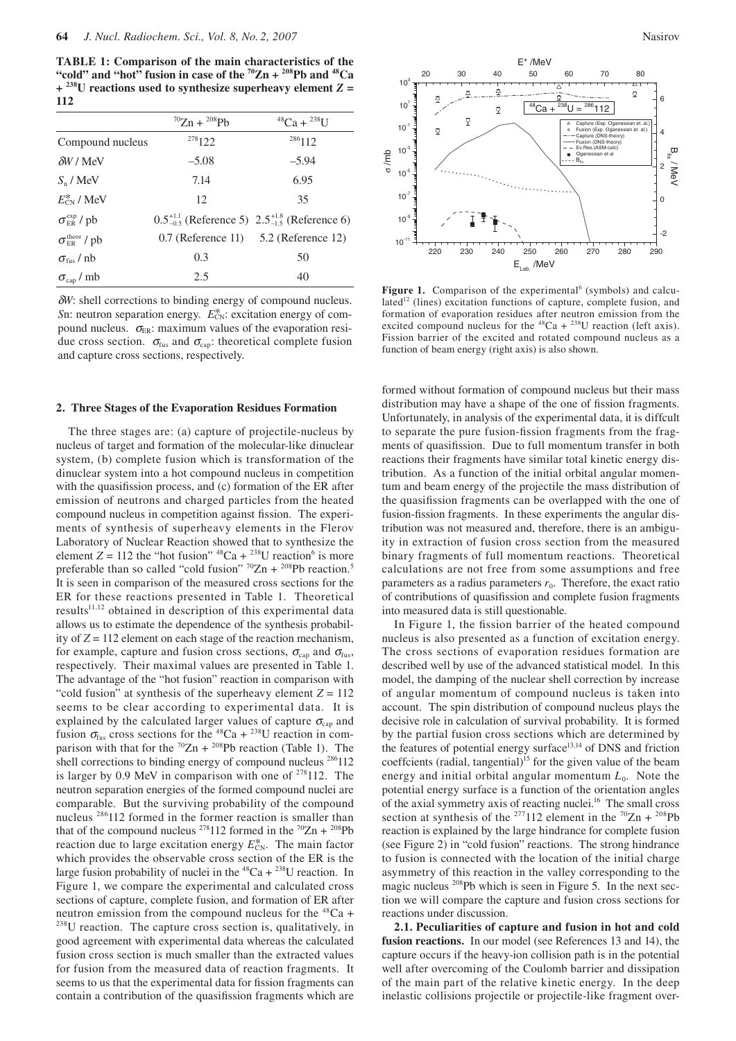**TABLE 1: Comparison of the main characteristics of the "cold" and "hot" fusion in case of the 70Zn + 208Pb and 48Ca + 238U reactions used to synthesize superheavy element** *Z* **= 112** 

|                            | $^{70}Zn + ^{208}Pb$ | $^{48}Ca + ^{238}U$                                                 |
|----------------------------|----------------------|---------------------------------------------------------------------|
| Compound nucleus           | 278122               | 286112                                                              |
| $\delta W /$ MeV           | $-5.08$              | $-5.94$                                                             |
| $S_n / MeV$                | 7.14                 | 6.95                                                                |
| $E_{\text{CN}}^*$ / MeV    | 12                   | 35                                                                  |
| $\sigma_{ER}^{exp}/pb$     |                      | $0.5_{-0.5}^{+1.1}$ (Reference 5) $2.5_{-1.5}^{+1.8}$ (Reference 6) |
| $\sigma_{ER}^{theor}$ / pb |                      | $0.7$ (Reference 11) $5.2$ (Reference 12)                           |
| $\sigma_{\rm fus}$ / nb    | 0.3                  | 50                                                                  |
| $\sigma_{\rm cap}$ / mb    | 2.5                  | 40                                                                  |

δ*W*: shell corrections to binding energy of compound nucleus. Sn: neutron separation energy.  $E_{CN}^*$ : excitation energy of compound nucleus.  $\sigma_{ER}$ : maximum values of the evaporation residue cross section.  $\sigma_{fus}$  and  $\sigma_{cap}$ : theoretical complete fusion and capture cross sections, respectively.

#### **2. Three Stages of the Evaporation Residues Formation**

The three stages are: (a) capture of projectile-nucleus by nucleus of target and formation of the molecular-like dinuclear system, (b) complete fusion which is transformation of the dinuclear system into a hot compound nucleus in competition with the quasifission process, and (c) formation of the ER after emission of neutrons and charged particles from the heated compound nucleus in competition against fission. The experiments of synthesis of superheavy elements in the Flerov Laboratory of Nuclear Reaction showed that to synthesize the element  $Z = 112$  the "hot fusion"  $^{48}Ca + ^{238}U$  reaction<sup>6</sup> is more preferable than so called "cold fusion"  $70Zn + \frac{208Pb}{P}$  reaction.<sup>5</sup> i. It is seen in comparison of the measured cross sections for the ER for these reactions presented in Table 1. Theoretical results<sup>11,12</sup> obtained in description of this experimental data allows us to estimate the dependence of the synthesis probability of *Z* = 112 element on each stage of the reaction mechanism, for example, capture and fusion cross sections,  $\sigma_{\text{can}}$  and  $\sigma_{\text{fus}}$ , respectively. Their maximal values are presented in Table 1. The advantage of the "hot fusion" reaction in comparison with "cold fusion" at synthesis of the superheavy element  $Z = 112$ seems to be clear according to experimental data. It is explained by the calculated larger values of capture  $\sigma_{cap}$  and fusion  $\sigma_{\text{fus}}$  cross sections for the <sup>48</sup>Ca + <sup>238</sup>U reaction in comparison with that for the  ${}^{70}Zn + {}^{208}Pb$  reaction (Table 1). The shell corrections to binding energy of compound nucleus <sup>286</sup>112 is larger by 0.9 MeV in comparison with one of  $278112$ . The neutron separation energies of the formed compound nuclei are comparable. But the surviving probability of the compound nucleus 286112 formed in the former reaction is smaller than that of the compound nucleus <sup>278</sup>112 formed in the <sup>70</sup>Zn + <sup>208</sup>Pb reaction due to large excitation energy  $E_{\text{CN}}^*$ . The main factor which provides the observable cross section of the ER is the large fusion probability of nuclei in the  ${}^{48}Ca + {}^{238}U$  reaction. In Figure 1, we compare the experimental and calculated cross sections of capture, complete fusion, and formation of ER after neutron emission from the compound nucleus for the  ${}^{48}Ca + {}^{238}U$  reaction. The capture cross section is, qualitatively, in good agreement with experimental data whereas the calculated fusion cross section is much smaller than the extracted values for fusion from the measured data of reaction fragments. It seems to us that the experimental data for fission fragments can contain a contribution of the quasifission fragments which are



Figure 1. Comparison of the experimental<sup>6</sup> (symbols) and calculated<sup>12</sup> (lines) excitation functions of capture, complete fusion, and formation of evaporation residues after neutron emission from the excited compound nucleus for the  ${}^{48}Ca + {}^{238}U$  reaction (left axis). Fission barrier of the excited and rotated compound nucleus as a function of beam energy (right axis) is also shown.

formed without formation of compound nucleus but their mass distribution may have a shape of the one of fission fragments. Unfortunately, in analysis of the experimental data, it is diffcult to separate the pure fusion-fission fragments from the fragments of quasifission. Due to full momentum transfer in both reactions their fragments have similar total kinetic energy distribution. As a function of the initial orbital angular momentum and beam energy of the projectile the mass distribution of the quasifission fragments can be overlapped with the one of fusion-fission fragments. In these experiments the angular distribution was not measured and, therefore, there is an ambiguity in extraction of fusion cross section from the measured binary fragments of full momentum reactions. Theoretical calculations are not free from some assumptions and free parameters as a radius parameters  $r_0$ . Therefore, the exact ratio of contributions of quasifission and complete fusion fragments into measured data is still questionable.

In Figure 1, the fission barrier of the heated compound nucleus is also presented as a function of excitation energy. The cross sections of evaporation residues formation are described well by use of the advanced statistical model. In this model, the damping of the nuclear shell correction by increase of angular momentum of compound nucleus is taken into account. The spin distribution of compound nucleus plays the decisive role in calculation of survival probability. It is formed by the partial fusion cross sections which are determined by the features of potential energy surface<sup>13,14</sup> of DNS and friction coeffcients (radial, tangential)<sup>15</sup> for the given value of the beam energy and initial orbital angular momentum  $L_0$ . Note the potential energy surface is a function of the orientation angles of the axial symmetry axis of reacting nuclei.<sup>16</sup> The small cross section at synthesis of the <sup>277</sup>112 element in the <sup>70</sup>Zn + <sup>208</sup>Pb reaction is explained by the large hindrance for complete fusion (see Figure 2) in "cold fusion" reactions. The strong hindrance to fusion is connected with the location of the initial charge asymmetry of this reaction in the valley corresponding to the magic nucleus <sup>208</sup>Pb which is seen in Figure 5. In the next section we will compare the capture and fusion cross sections for reactions under discussion.

**2.1. Peculiarities of capture and fusion in hot and cold fusion reactions.** In our model (see References 13 and 14), the capture occurs if the heavy-ion collision path is in the potential well after overcoming of the Coulomb barrier and dissipation of the main part of the relative kinetic energy. In the deep inelastic collisions projectile or projectile-like fragment over-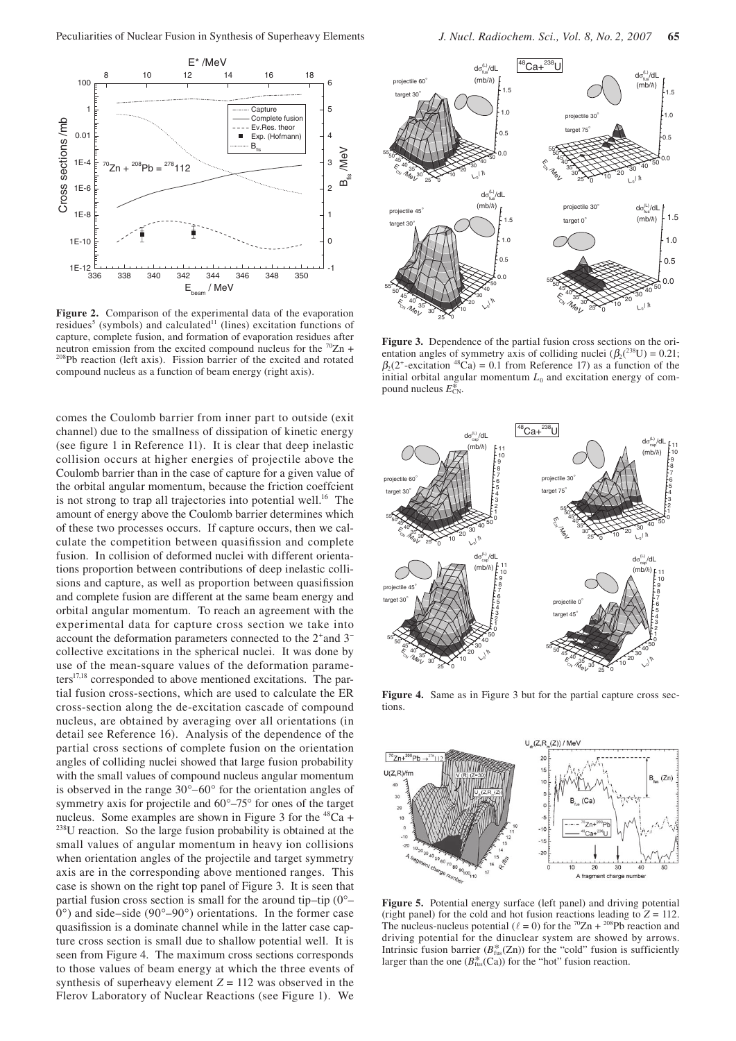

**Figure 2.** Comparison of the experimental data of the evaporation residues<sup>5</sup> (symbols) and calculated<sup>11</sup> (lines) excitation functions of capture, complete fusion, and formation of evaporation residues after neutron emission from the excited compound nucleus for the  $^{70}Zn + ^{208}Pb$  reaction (left axis). Fission barrier of the excited and rotated compound nucleus as a function of beam energy (right axis).

comes the Coulomb barrier from inner part to outside (exit channel) due to the smallness of dissipation of kinetic energy (see figure 1 in Reference 11). It is clear that deep inelastic collision occurs at higher energies of projectile above the Coulomb barrier than in the case of capture for a given value of the orbital angular momentum, because the friction coeffcient is not strong to trap all trajectories into potential well.<sup>16</sup> The amount of energy above the Coulomb barrier determines which of these two processes occurs. If capture occurs, then we calculate the competition between quasifission and complete fusion. In collision of deformed nuclei with different orientations proportion between contributions of deep inelastic collisions and capture, as well as proportion between quasifission and complete fusion are different at the same beam energy and orbital angular momentum. To reach an agreement with the experimental data for capture cross section we take into account the deformation parameters connected to the 2<sup>+</sup> and 3<sup>-</sup> collective excitations in the spherical nuclei. It was done by use of the mean-square values of the deformation parame $ters<sup>17,18</sup>$  corresponded to above mentioned excitations. The partial fusion cross-sections, which are used to calculate the ER cross-section along the de-excitation cascade of compound nucleus, are obtained by averaging over all orientations (in detail see Reference 16). Analysis of the dependence of the partial cross sections of complete fusion on the orientation angles of colliding nuclei showed that large fusion probability with the small values of compound nucleus angular momentum is observed in the range 30°–60° for the orientation angles of symmetry axis for projectile and 60°–75° for ones of the target nucleus. Some examples are shown in Figure 3 for the  ${}^{48}Ca + {}^{238}U$  reaction. So the large fusion probability is obtained at the small values of angular momentum in heavy ion collisions when orientation angles of the projectile and target symmetry axis are in the corresponding above mentioned ranges. This case is shown on the right top panel of Figure 3. It is seen that partial fusion cross section is small for the around tip–tip  $(0^{\circ}$ –  $(0^{\circ})$  and side–side (90°–90°) orientations. In the former case quasifission is a dominate channel while in the latter case capture cross section is small due to shallow potential well. It is seen from Figure 4. The maximum cross sections corresponds to those values of beam energy at which the three events of synthesis of superheavy element  $Z = 112$  was observed in the Flerov Laboratory of Nuclear Reactions (see Figure 1). We



**Figure 3.** Dependence of the partial fusion cross sections on the orientation angles of symmetry axis of colliding nuclei  $(\beta_2(^{238}U) = 0.21)$ ;  $\beta_2(2^+$ -excitation <sup>48</sup>Ca) = 0.1 from Reference 17) as a function of the initial orbital angular momentum  $L_0$  and excitation energy of compound nucleus  $E_{\text{CN}}^*$ .



**Figure 4.** Same as in Figure 3 but for the partial capture cross sections.



**Figure 5.** Potential energy surface (left panel) and driving potential (right panel) for the cold and hot fusion reactions leading to  $Z = 112$ . The nucleus-nucleus potential ( $\ell = 0$ ) for the <sup>70</sup>Zn + <sup>208</sup>Pb reaction and driving potential for the dinuclear system are showed by arrows. Intrinsic fusion barrier  $(B_{\text{fus}}^*(Zn))$  for the "cold" fusion is sufficiently larger than the one (*B\**fus(Ca)) for the "hot" fusion reaction.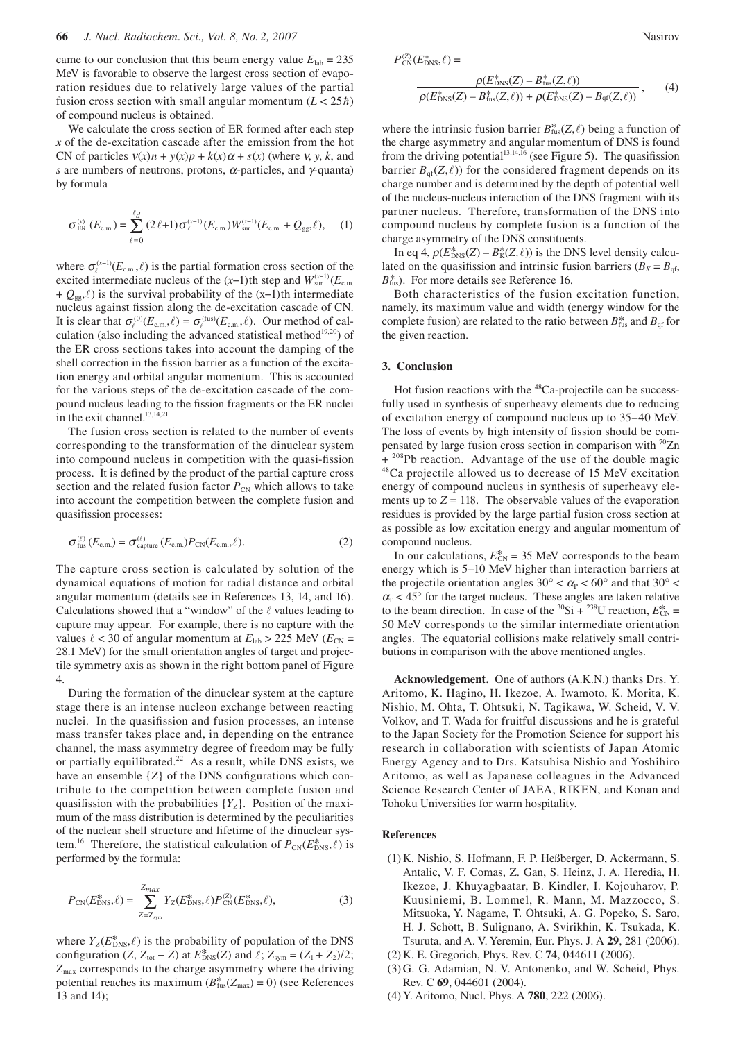came to our conclusion that this beam energy value  $E_{\text{lab}} = 235$ MeV is favorable to observe the largest cross section of evaporation residues due to relatively large values of the partial fusion cross section with small angular momentum  $(L < 25h)$ of compound nucleus is obtained.

We calculate the cross section of ER formed after each step *x* of the de-excitation cascade after the emission from the hot CN of particles  $v(x)n + y(x)p + k(x)\alpha + s(x)$  (where v, *y*, *k*, and *s* are numbers of neutrons, protons,  $\alpha$ -particles, and  $\gamma$ -quanta) by formula

$$
\sigma_{\text{ER}}^{(x)}(E_{\text{c.m.}}) = \sum_{\ell=0}^{\ell_d} (2\ell+1) \sigma_{\ell}^{(x-1)}(E_{\text{c.m.}}) W_{\text{sur}}^{(x-1)}(E_{\text{c.m.}} + Q_{\text{gg}}, \ell), \quad (1)
$$

where  $\sigma_{\ell}^{(x-1)}(E_{c.m.}, \ell)$  is the partial formation cross section of the excited intermediate nucleus of the  $(x-1)$ th step and  $W_{\text{sur}}^{(x-1)}(E_{\text{c.m.}})$ + *Q*gg,l) is the survival probability of the (x−1)th intermediate nucleus against fission along the de-excitation cascade of CN. It is clear that  $\sigma_\ell^{(0)}(E_{\text{c.m.}},\ell) = \sigma_\ell^{(\text{fus})}(E_{\text{c.m.}},\ell)$ . Our method of calculation (also including the advanced statistical method $19,20$ ) of the ER cross sections takes into account the damping of the shell correction in the fission barrier as a function of the excitation energy and orbital angular momentum. This is accounted for the various steps of the de-excitation cascade of the compound nucleus leading to the fission fragments or the ER nuclei in the exit channel.<sup>13,14,21</sup>

The fusion cross section is related to the number of events corresponding to the transformation of the dinuclear system into compound nucleus in competition with the quasi-fission process. It is defined by the product of the partial capture cross section and the related fusion factor  $P_{CN}$  which allows to take into account the competition between the complete fusion and quasifission processes:

$$
\sigma_{\text{fus}}^{(\ell)}(E_{\text{c.m.}}) = \sigma_{\text{capture}}^{(\ell)}(E_{\text{c.m.}}) P_{\text{CN}}(E_{\text{c.m.}}, \ell). \tag{2}
$$

The capture cross section is calculated by solution of the dynamical equations of motion for radial distance and orbital angular momentum (details see in References 13, 14, and 16). Calculations showed that a "window" of the  $\ell$  values leading to capture may appear. For example, there is no capture with the values  $\ell$  < 30 of angular momentum at  $E_{\text{lab}}$  > 225 MeV ( $E_{\text{CN}}$  = 28.1 MeV) for the small orientation angles of target and projectile symmetry axis as shown in the right bottom panel of Figure 4.

During the formation of the dinuclear system at the capture stage there is an intense nucleon exchange between reacting nuclei. In the quasifission and fusion processes, an intense mass transfer takes place and, in depending on the entrance channel, the mass asymmetry degree of freedom may be fully or partially equilibrated.<sup>22</sup> As a result, while DNS exists, we have an ensemble {*Z*} of the DNS configurations which contribute to the competition between complete fusion and quasifission with the probabilities {*YZ*}. Position of the maximum of the mass distribution is determined by the peculiarities of the nuclear shell structure and lifetime of the dinuclear system.<sup>16</sup> Therefore, the statistical calculation of  $P_{CN}(E_{DNS}^*, \ell)$  is performed by the formula:

$$
P_{\rm CN}(E_{\rm DNS}^*, \ell) = \sum_{Z = Z_{\rm sym}}^{Z_{\rm max}} Y_Z(E_{\rm DNS}^*, \ell) P_{\rm CN}^{(Z)}(E_{\rm DNS}^*, \ell),\tag{3}
$$

where  $Y_Z(E_{\text{DNS}}^*, \ell)$  is the probability of population of the DNS configuration (*Z*,  $Z_{\text{tot}} - Z$ ) at  $E_{\text{DNS}}^*(Z)$  and  $\ell$ ;  $Z_{\text{sym}} = (Z_1 + Z_2)/2$ ; *Z*max corresponds to the charge asymmetry where the driving potential reaches its maximum  $(B_{fus}^*(Z_{max}) = 0)$  (see References 13 and 14);

$$
P_{\text{CN}}^{(Z)}(E_{\text{DNS}}^*, \ell) =
$$

$$
\frac{\rho(E_{\text{DNS}}^*(Z) - B_{\text{fus}}^*(Z,\ell))}{\rho(E_{\text{DNS}}^*(Z) - B_{\text{fus}}^*(Z,\ell)) + \rho(E_{\text{DNS}}^*(Z) - B_{\text{qf}}(Z,\ell))},\qquad(4)
$$

where the intrinsic fusion barrier  $B_{\text{fus}}^{*}(Z,\ell)$  being a function of the charge asymmetry and angular momentum of DNS is found from the driving potential<sup>13,14,16</sup> (see Figure 5). The quasifission barrier  $B_{\text{af}}(Z,\ell)$ ) for the considered fragment depends on its charge number and is determined by the depth of potential well of the nucleus-nucleus interaction of the DNS fragment with its partner nucleus. Therefore, transformation of the DNS into compound nucleus by complete fusion is a function of the charge asymmetry of the DNS constituents.

In eq 4,  $\rho(E_{\text{DNS}}^*(Z) - B_K^*(Z, \ell))$  is the DNS level density calculated on the quasifission and intrinsic fusion barriers ( $B_K = B_{\text{qf}}$ , *B\**fus). For more details see Reference 16.

Both characteristics of the fusion excitation function, namely, its maximum value and width (energy window for the complete fusion) are related to the ratio between  $B_{\text{fus}}^*$  and  $B_{\text{af}}$  for the given reaction.

#### **3. Conclusion**

Hot fusion reactions with the  ${}^{48}$ Ca-projectile can be successfully used in synthesis of superheavy elements due to reducing of excitation energy of compound nucleus up to 35–40 MeV. The loss of events by high intensity of fission should be compensated by large fusion cross section in comparison with  $\mathrm{^{70}Zn}$  $+$  <sup>208</sup>Pb reaction. Advantage of the use of the double magic  $+$  <sup>48</sup>Ca projectile allowed us to decrease of 15 MeV excitation energy of compound nucleus in synthesis of superheavy elements up to  $Z = 118$ . The observable values of the evaporation residues is provided by the large partial fusion cross section at as possible as low excitation energy and angular momentum of compound nucleus.

In our calculations,  $E_{CN}^* = 35$  MeV corresponds to the beam energy which is 5–10 MeV higher than interaction barriers at the projectile orientation angles  $30^{\circ} < \alpha_{\rm P} < 60^{\circ}$  and that  $30^{\circ} <$  $\alpha_{\rm T}$  < 45° for the target nucleus. These angles are taken relative to the beam direction. In case of the <sup>30</sup>Si + <sup>238</sup>U reaction,  $E_{CN}^*$  = 50 MeV corresponds to the similar intermediate orientation angles. The equatorial collisions make relatively small contributions in comparison with the above mentioned angles.

**Acknowledgement.** One of authors (A.K.N.) thanks Drs. Y. Aritomo, K. Hagino, H. Ikezoe, A. Iwamoto, K. Morita, K. Nishio, M. Ohta, T. Ohtsuki, N. Tagikawa, W. Scheid, V. V. Volkov, and T. Wada for fruitful discussions and he is grateful to the Japan Society for the Promotion Science for support his research in collaboration with scientists of Japan Atomic Energy Agency and to Drs. Katsuhisa Nishio and Yoshihiro Aritomo, as well as Japanese colleagues in the Advanced Science Research Center of JAEA, RIKEN, and Konan and Tohoku Universities for warm hospitality.

### **References**

- (1) K. Nishio, S. Hofmann, F. P. Heßberger, D. Ackermann, S. Antalic, V. F. Comas, Z. Gan, S. Heinz, J. A. Heredia, H. Ikezoe, J. Khuyagbaatar, B. Kindler, I. Kojouharov, P. Kuusiniemi, B. Lommel, R. Mann, M. Mazzocco, S. Mitsuoka, Y. Nagame, T. Ohtsuki, A. G. Popeko, S. Saro, H. J. Schött, B. Sulignano, A. Svirikhin, K. Tsukada, K. Tsuruta, and A. V. Yeremin, Eur. Phys. J. A **29**, 281 (2006).
- (2) K. E. Gregorich, Phys. Rev. C **74**, 044611 (2006).
- (3) G. G. Adamian, N. V. Antonenko, and W. Scheid, Phys. Rev. C **69**, 044601 (2004).
- (4) Y. Aritomo, Nucl. Phys. A **780**, 222 (2006).